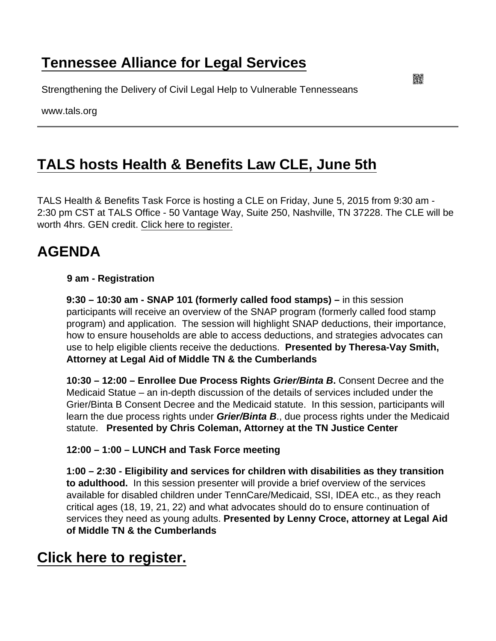# [Tennessee Alliance for Legal Services](https://www.tals.org/)

Strengthening the Delivery of Civil Legal Help to Vulnerable Tennesseans

www.tals.org

# [TALS hosts Health & Benefits Law CLE, June 5th](https://www.tals.org/node/883/tals-hosts-health-benefits-law-cle-june-5th)

TALS Health & Benefits Task Force is hosting a CLE on Friday, June 5, 2015 from 9:30 am - 2:30 pm CST at TALS Office - 50 Vantage Way, Suite 250, Nashville, TN 37228. The CLE will be worth 4hrs. GEN credit. [Click here to register.](http://events.constantcontact.com/register/event?llr=wp7l49bab&oeidk=a07eaxwtnbwf5494cc4)

## AGENDA

9 am - Registration

9:30 – 10:30 am - SNAP 101 (formerly called food stamps) – in this session participants will receive an overview of the SNAP program (formerly called food stamp program) and application. The session will highlight SNAP deductions, their importance, how to ensure households are able to access deductions, and strategies advocates can use to help eligible clients receive the deductions. Presented by Theresa-Vay Smith, Attorney at Legal Aid of Middle TN & the Cumberlands

10:30 – 12:00 – Enrollee Due Process Rights Grier/Binta B . Consent Decree and the Medicaid Statue – an in-depth discussion of the details of services included under the Grier/Binta B Consent Decree and the Medicaid statute. In this session, participants will learn the due process rights under Grier/Binta B ., due process rights under the Medicaid statute. Presented by Chris Coleman, Attorney at the TN Justice Center

12:00 – 1:00 – LUNCH and Task Force meeting

1:00 – 2:30 - Eligibility and services for children with disabilities as they transition to adulthood. In this session presenter will provide a brief overview of the services available for disabled children under TennCare/Medicaid, SSI, IDEA etc., as they reach critical ages (18, 19, 21, 22) and what advocates should do to ensure continuation of services they need as young adults. Presented by Lenny Croce, attorney at Legal Aid of Middle TN & the Cumberlands

### [Click here to register.](http://events.constantcontact.com/register/event?llr=wp7l49bab&oeidk=a07eaxwtnbwf5494cc4)